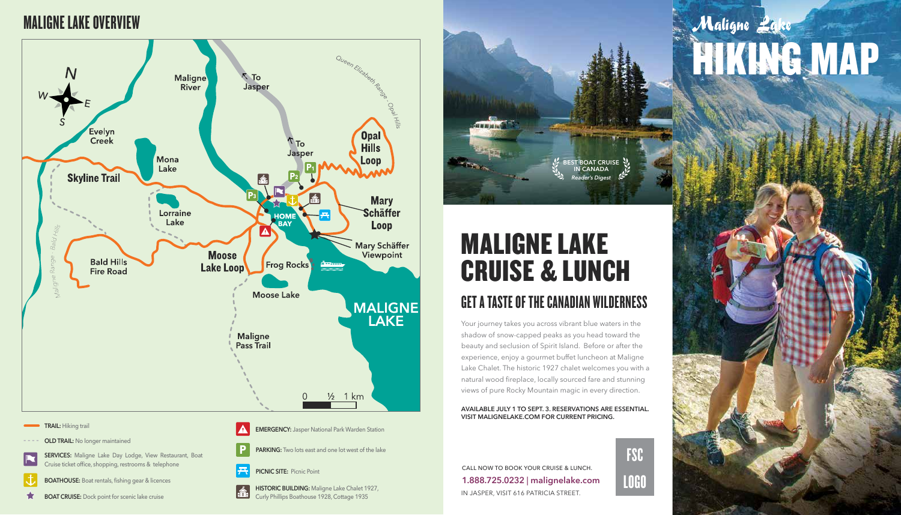

- **BOATHOUSE:** Boat rentals, fishing gear & licences
- $\bigstar$ **BOAT CRUISE:** Dock point for scenic lake cruise



**SERVICES:** Maligne Lake Day Lodge, View Restaurant, Boat Cruise ticket office, shopping, restrooms & telephone

#### **TRAIL:** Hiking trail

- **OLD TRAIL:** No longer maintained
- 

**EMERGENCY:** Jasper National Park Warden Station







**HISTORIC BUILDING:** Maligne Lake Chalet 1927, É Curly Phillips Boathouse 1928, Cottage 1935

## MALIGNE LAKE OVERVIEW



# MALIGNE LAKE CRUISE & LUNCH

#### GET A TASTE OF THE CANADIAN WILDERNESS

Your journey takes you across vibrant blue waters in the shadow of snow-capped peaks as you head toward the beauty and seclusion of Spirit Island. Before or after the experience, enjoy a gourmet buffet luncheon at Maligne Lake Chalet. The historic 1927 chalet welcomes you with a natural wood fireplace, locally sourced fare and stunning views of pure Rocky Mountain magic in every direction.

#### **AVAILABLE JULY 1 TO SEPT. 3. RESERVATIONS ARE ESSENTIAL. VISIT MALIGNELAKE.COM FOR CURRENT PRICING.**



IN JASPER, VISIT 616 PATRICIA STREET. CALL NOW TO BOOK YOUR CRUISE & LUNCH. **1.888.725.0232** | **malignelake.com** FSC

LOGO